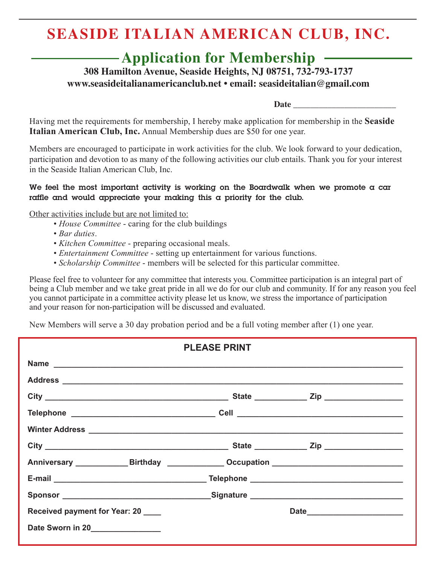# **SEASIDE ITALIAN AMERICAN CLUB, INC.**

# **Application for Membership**

**308 Hamilton Avenue, Seaside Heights, NJ 08751, 732-793-1737 www.seasideitalianamericanclub.net • email: seasideitalian@gmail.com**

 **Date \_\_\_\_\_\_\_\_\_\_\_\_\_\_\_\_\_\_\_\_\_\_\_\_**

Having met the requirements for membership, I hereby make application for membership in the **Seaside Italian American Club, Inc.** Annual Membership dues are \$50 for one year.

Members are encouraged to participate in work activities for the club. We look forward to your dedication, participation and devotion to as many of the following activities our club entails. Thank you for your interest in the Seaside Italian American Club, Inc.

### **We feel the most important activity is working on the Boardwalk when we promote a car raffle and would appreciate your making this a priority for the club.**

Other activities include but are not limited to:

- *House Committee* caring for the club buildings
- *Bar duties*.
- *Kitchen Committee* preparing occasional meals.
- *Entertainment Committee*  setting up entertainment for various functions.
- • *Scholarship Committee* members will be selected for this particular committee.

Please feel free to volunteer for any committee that interests you. Committee participation is an integral part of being a Club member and we take great pride in all we do for our club and community. If for any reason you feel you cannot participate in a committee activity please let us know, we stress the importance of participation and your reason for non-participation will be discussed and evaluated.

New Members will serve a 30 day probation period and be a full voting member after (1) one year.

|                                                                                                                                                                                                                                | <b>PLEASE PRINT</b> |      |
|--------------------------------------------------------------------------------------------------------------------------------------------------------------------------------------------------------------------------------|---------------------|------|
|                                                                                                                                                                                                                                |                     |      |
|                                                                                                                                                                                                                                |                     |      |
|                                                                                                                                                                                                                                |                     |      |
|                                                                                                                                                                                                                                |                     |      |
|                                                                                                                                                                                                                                |                     |      |
|                                                                                                                                                                                                                                |                     |      |
| Anniversary ______________Birthday _______________Occupation ____________________                                                                                                                                              |                     |      |
| E-mail entertainment and the Contract of Telephone entertainment and the Contract of Telephone entertainment and the Contract of Telephone entertainment and the Contract of the Contract of the Contract of the Contract of t |                     |      |
|                                                                                                                                                                                                                                |                     |      |
| Received payment for Year: 20                                                                                                                                                                                                  |                     | Date |
| Date Sworn in 20                                                                                                                                                                                                               |                     |      |